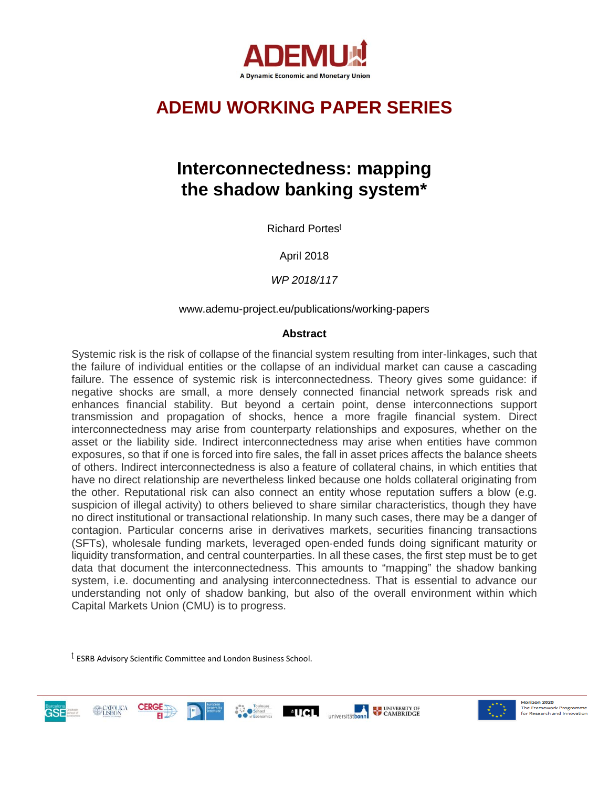

# **ADEMU WORKING PAPER SERIES**

# **Interconnectedness: mapping the shadow banking system\***

Richard Portes<sup>ʈ</sup>

April 2018

*WP 2018/117*

# www.ademu-project.eu/publications/working-papers

# **Abstract**

Systemic risk is the risk of collapse of the financial system resulting from inter-linkages, such that the failure of individual entities or the collapse of an individual market can cause a cascading failure. The essence of systemic risk is interconnectedness. Theory gives some guidance: if negative shocks are small, a more densely connected financial network spreads risk and enhances financial stability. But beyond a certain point, dense interconnections support transmission and propagation of shocks, hence a more fragile financial system. Direct interconnectedness may arise from counterparty relationships and exposures, whether on the asset or the liability side. Indirect interconnectedness may arise when entities have common exposures, so that if one is forced into fire sales, the fall in asset prices affects the balance sheets of others. Indirect interconnectedness is also a feature of collateral chains, in which entities that have no direct relationship are nevertheless linked because one holds collateral originating from the other. Reputational risk can also connect an entity whose reputation suffers a blow (e.g. suspicion of illegal activity) to others believed to share similar characteristics, though they have no direct institutional or transactional relationship. In many such cases, there may be a danger of contagion. Particular concerns arise in derivatives markets, securities financing transactions (SFTs), wholesale funding markets, leveraged open‑ended funds doing significant maturity or liquidity transformation, and central counterparties. In all these cases, the first step must be to get data that document the interconnectedness. This amounts to "mapping" the shadow banking system, i.e. documenting and analysing interconnectedness. That is essential to advance our understanding not only of shadow banking, but also of the overall environment within which Capital Markets Union (CMU) is to progress.

<sup>ʈ</sup> ESRB Advisory Scientific Committee and London Business School.



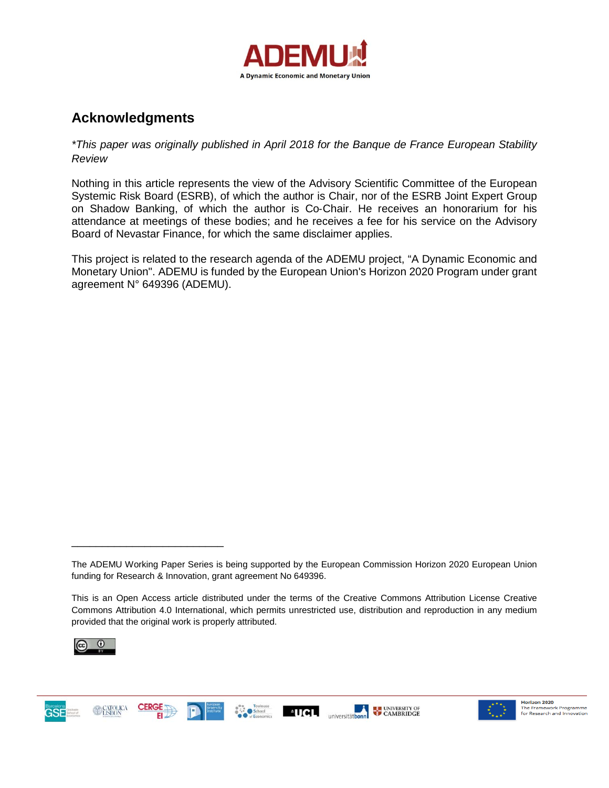

# **Acknowledgments**

*\*This paper was originally published in April 2018 for the Banque de France European Stability Review*

Nothing in this article represents the view of the Advisory Scientific Committee of the European Systemic Risk Board (ESRB), of which the author is Chair, nor of the ESRB Joint Expert Group on Shadow Banking, of which the author is Co‑Chair. He receives an honorarium for his attendance at meetings of these bodies; and he receives a fee for his service on the Advisory Board of Nevastar Finance, for which the same disclaimer applies.

This project is related to the research agenda of the ADEMU project, "A Dynamic Economic and Monetary Union". ADEMU is funded by the European Union's Horizon 2020 Program under grant agreement N° 649396 (ADEMU).

This is an Open Access article distributed under the terms of the Creative Commons Attribution License Creative Commons Attribution 4.0 International, which permits unrestricted use, distribution and reproduction in any medium provided that the original work is properly attributed.



**GSE** 

\_\_\_\_\_\_\_\_\_\_\_\_\_\_\_\_\_\_\_\_\_\_\_\_\_





The ADEMU Working Paper Series is being supported by the European Commission Horizon 2020 European Union funding for Research & Innovation, grant agreement No 649396.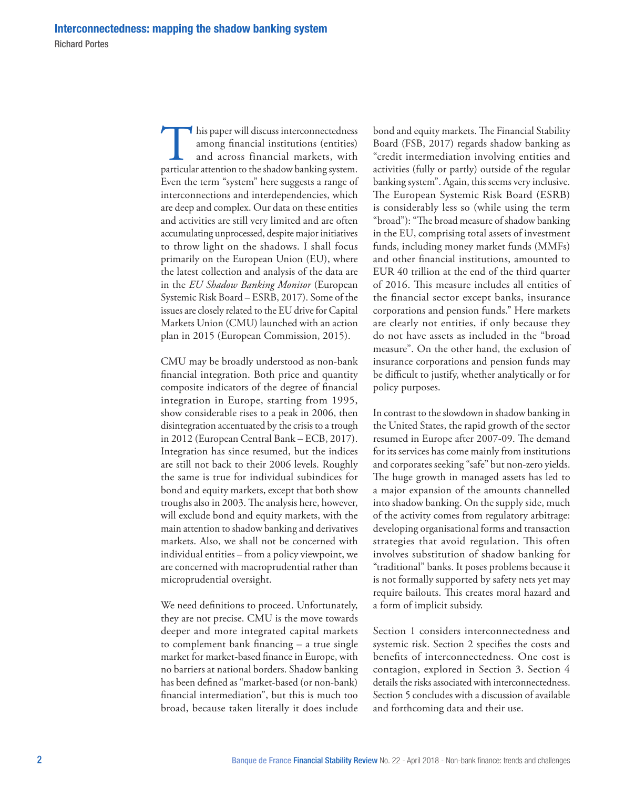This paper will discuss interconnectedness<br>among financial institutions (entities)<br>and across financial markets, with<br>particular attention to the shadow banking system. among financial institutions (entities) and across financial markets, with Even the term "system" here suggests a range of interconnections and interdependencies, which are deep and complex. Our data on these entities and activities are still very limited and are often accumulating unprocessed, despite major initiatives to throw light on the shadows. I shall focus primarily on the European Union (EU), where the latest collection and analysis of the data are in the *EU Shadow Banking Monitor* (European Systemic Risk Board – ESRB, 2017). Some of the issues are closely related to the EU drive for Capital Markets Union (CMU) launched with an action plan in 2015 (European Commission, 2015).

CMU may be broadly understood as non‑bank financial integration. Both price and quantity composite indicators of the degree of financial integration in Europe, starting from 1995, show considerable rises to a peak in 2006, then disintegration accentuated by the crisis to a trough in 2012 (European Central Bank – ECB, 2017). Integration has since resumed, but the indices are still not back to their 2006 levels. Roughly the same is true for individual subindices for bond and equity markets, except that both show troughs also in 2003. The analysis here, however, will exclude bond and equity markets, with the main attention to shadow banking and derivatives markets. Also, we shall not be concerned with individual entities – from a policy viewpoint, we are concerned with macroprudential rather than microprudential oversight.

We need definitions to proceed. Unfortunately, they are not precise. CMU is the move towards deeper and more integrated capital markets to complement bank financing – a true single market for market-based finance in Europe, with no barriers at national borders. Shadow banking has been defined as "market-based (or non-bank) financial intermediation", but this is much too broad, because taken literally it does include bond and equity markets. The Financial Stability Board (FSB, 2017) regards shadow banking as "credit intermediation involving entities and activities (fully or partly) outside of the regular banking system". Again, this seems very inclusive. The European Systemic Risk Board (ESRB) is considerably less so (while using the term "broad"): "The broad measure of shadow banking in the EU, comprising total assets of investment funds, including money market funds (MMFs) and other financial institutions, amounted to EUR 40 trillion at the end of the third quarter of 2016. This measure includes all entities of the financial sector except banks, insurance corporations and pension funds." Here markets are clearly not entities, if only because they do not have assets as included in the "broad measure". On the other hand, the exclusion of insurance corporations and pension funds may be difficult to justify, whether analytically or for policy purposes.

In contrast to the slowdown in shadow banking in the United States, the rapid growth of the sector resumed in Europe after 2007‑09. The demand for its services has come mainly from institutions and corporates seeking "safe" but non‑zero yields. The huge growth in managed assets has led to a major expansion of the amounts channelled into shadow banking. On the supply side, much of the activity comes from regulatory arbitrage: developing organisational forms and transaction strategies that avoid regulation. This often involves substitution of shadow banking for "traditional" banks. It poses problems because it is not formally supported by safety nets yet may require bailouts. This creates moral hazard and a form of implicit subsidy.

Section 1 considers interconnectedness and systemic risk. Section 2 specifies the costs and benefits of interconnectedness. One cost is contagion, explored in Section 3. Section 4 details the risks associated with interconnectedness. Section 5 concludes with a discussion of available and forthcoming data and their use.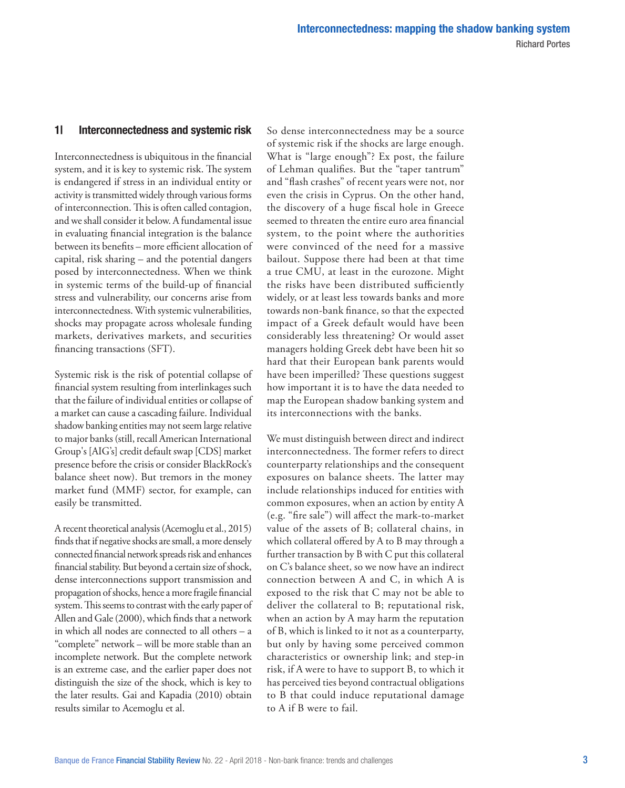### 1| Interconnectedness and systemic risk

Interconnectedness is ubiquitous in the financial system, and it is key to systemic risk. The system is endangered if stress in an individual entity or activity is transmitted widely through various forms of interconnection. This is often called contagion, and we shall consider it below. A fundamental issue in evaluating financial integration is the balance between its benefits – more efficient allocation of capital, risk sharing – and the potential dangers posed by interconnectedness. When we think in systemic terms of the build‑up of financial stress and vulnerability, our concerns arise from interconnectedness. With systemic vulnerabilities, shocks may propagate across wholesale funding markets, derivatives markets, and securities financing transactions (SFT).

Systemic risk is the risk of potential collapse of financial system resulting from interlinkages such that the failure of individual entities or collapse of a market can cause a cascading failure. Individual shadow banking entities may not seem large relative to major banks (still, recall American International Group's [AIG's] credit default swap [CDS] market presence before the crisis or consider BlackRock's balance sheet now). But tremors in the money market fund (MMF) sector, for example, can easily be transmitted.

A recent theoretical analysis (Acemoglu et al., 2015) finds that if negative shocks are small, a more densely connected financial network spreads risk and enhances financial stability. But beyond a certain size of shock, dense interconnections support transmission and propagation of shocks, hence a more fragile financial system. This seems to contrast with the early paper of Allen and Gale (2000), which finds that a network in which all nodes are connected to all others – a "complete" network – will be more stable than an incomplete network. But the complete network is an extreme case, and the earlier paper does not distinguish the size of the shock, which is key to the later results. Gai and Kapadia (2010) obtain results similar to Acemoglu et al.

So dense interconnectedness may be a source of systemic risk if the shocks are large enough. What is "large enough"? Ex post, the failure of Lehman qualifies. But the "taper tantrum" and "flash crashes" of recent years were not, nor even the crisis in Cyprus. On the other hand, the discovery of a huge fiscal hole in Greece seemed to threaten the entire euro area financial system, to the point where the authorities were convinced of the need for a massive bailout. Suppose there had been at that time a true CMU, at least in the eurozone. Might the risks have been distributed sufficiently widely, or at least less towards banks and more towards non‑bank finance, so that the expected impact of a Greek default would have been considerably less threatening? Or would asset managers holding Greek debt have been hit so hard that their European bank parents would have been imperilled? These questions suggest how important it is to have the data needed to map the European shadow banking system and its interconnections with the banks.

We must distinguish between direct and indirect interconnectedness. The former refers to direct counterparty relationships and the consequent exposures on balance sheets. The latter may include relationships induced for entities with common exposures, when an action by entity A (e.g. "fire sale") will affect the mark‑to‑market value of the assets of B; collateral chains, in which collateral offered by A to B may through a further transaction by B with C put this collateral on C's balance sheet, so we now have an indirect connection between A and C, in which A is exposed to the risk that C may not be able to deliver the collateral to B; reputational risk, when an action by A may harm the reputation of B, which is linked to it not as a counterparty, but only by having some perceived common characteristics or ownership link; and step‑in risk, if A were to have to support B, to which it has perceived ties beyond contractual obligations to B that could induce reputational damage to A if B were to fail.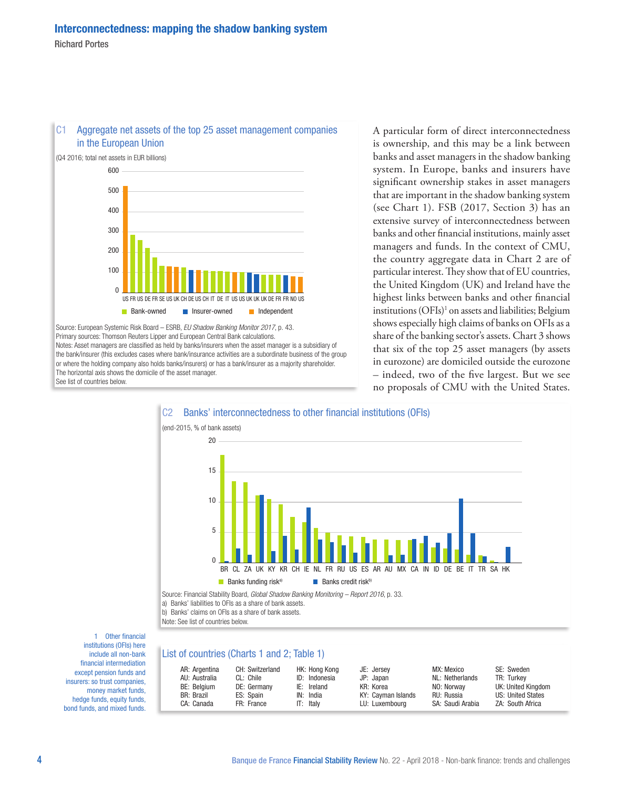

C1 Aggregate net assets of the top 25 asset management companies in the European Union

Source: European Systemic Risk Board – ESRB, *EU Shadow Banking Monitor 2017*, p. 43. Primary sources: Thomson Reuters Lipper and European Central Bank calculations. Notes: Asset managers are classified as held by banks/insurers when the asset manager is a subsidiary of the bank/insurer (this excludes cases where bank/insurance activities are a subordinate business of the group or where the holding company also holds banks/insurers) or has a bank/insurer as a majority shareholder. The horizontal axis shows the domicile of the asset manager. See list of countries below.

A particular form of direct interconnectedness is ownership, and this may be a link between banks and asset managers in the shadow banking system. In Europe, banks and insurers have significant ownership stakes in asset managers that are important in the shadow banking system (see Chart 1). FSB (2017, Section 3) has an extensive survey of interconnectedness between banks and other financial institutions, mainly asset managers and funds. In the context of CMU, the country aggregate data in Chart 2 are of particular interest. They show that of EU countries, the United Kingdom (UK) and Ireland have the highest links between banks and other financial institutions (OFIs)1 on assets and liabilities; Belgium shows especially high claims of banks on OFIs as a share of the banking sector's assets. Chart 3 shows that six of the top 25 asset managers (by assets in eurozone) are domiciled outside the eurozone – indeed, two of the five largest. But we see no proposals of CMU with the United States.



1 Other financial institutions (OFIs) here include all non‑bank financial intermediation except pension funds and insurers: so trust companies, money market funds, hedge funds, equity funds, bond funds, and mixed funds.

#### List of countries (Charts 1 and 2; Table 1)

| AR: Argentina     | CH: Switzerland | HK: Hong Kong | JE: Jersey         | MX: Mexico       | SE: Sweden         |
|-------------------|-----------------|---------------|--------------------|------------------|--------------------|
| AU: Australia     | CL: Chile       | ID: Indonesia | JP: Japan          | NL: Netherlands  | TR: Turkey         |
| BE: Belgium       | DE: Germany     | IE: Ireland   | KR: Korea          | NO: Norway       | UK: United Kingdom |
| <b>BR: Brazil</b> | ES: Spain       | IN: India     | KY: Cayman Islands | RU: Russia       | US: United States  |
| CA: Canada        | FR: France      | IT: Italv     | LU: Luxembourg     | SA: Saudi Arabia | ZA: South Africa   |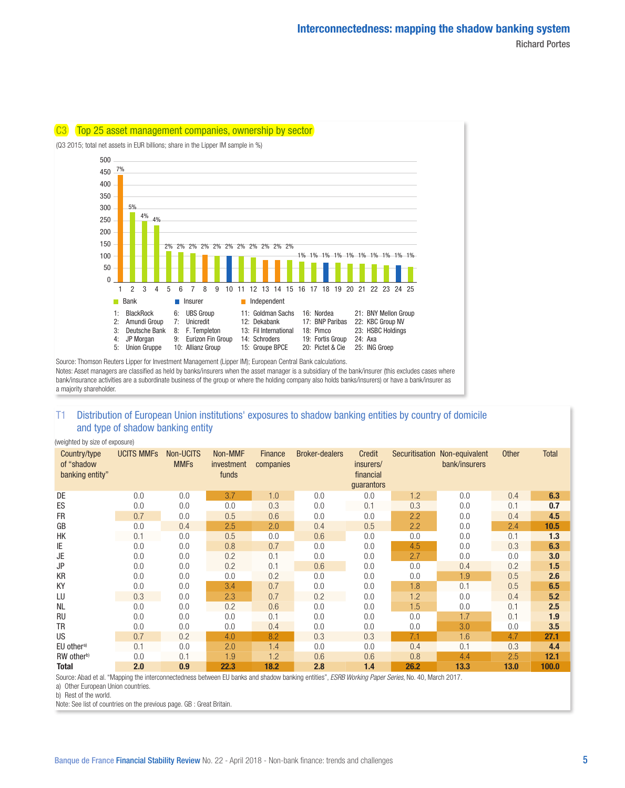

Source: Thomson Reuters Lipper for Investment Management (Lipper IM); European Central Bank calculations. Notes: Asset managers are classified as held by banks/insurers when the asset manager is a subsidiary of the bank/insurer (this excludes cases where bank/insurance activities are a subordinate business of the group or where the holding company also holds banks/insurers) or have a bank/insurer as a majority shareholder.

# T1 Distribution of European Union institutions' exposures to shadow banking entities by country of domicile and type of shadow banking entity

(weighted by size of exposure)

| Country/type<br>of "shadow<br>banking entity" | <b>UCITS MMFs</b> | Non-UCITS<br><b>MMFs</b> | Non-MMF<br>investment<br>funds | <b>Finance</b><br>companies | <b>Broker-dealers</b> | Credit<br>insurers/<br>financial<br>quarantors | Securitisation | Non-equivalent<br>bank/insurers | <b>Other</b> | <b>Total</b> |
|-----------------------------------------------|-------------------|--------------------------|--------------------------------|-----------------------------|-----------------------|------------------------------------------------|----------------|---------------------------------|--------------|--------------|
| DE                                            | 0.0               | 0.0                      | 3.7                            | 1.0                         | 0.0                   | 0.0                                            | 1.2            | 0.0                             | 0.4          | 6.3          |
| ES                                            | 0.0               | 0.0                      | 0.0                            | 0.3                         | 0.0                   | 0.1                                            | 0.3            | 0.0                             | 0.1          | 0.7          |
| <b>FR</b>                                     | 0.7               | 0.0                      | 0.5                            | 0.6                         | 0.0                   | 0.0                                            | 2.2            | 0.0                             | 0.4          | 4.5          |
| GB                                            | 0.0               | 0.4                      | 2.5                            | 2.0                         | 0.4                   | 0.5                                            | 2.2            | 0.0                             | 2.4          | 10.5         |
| HK                                            | 0.1               | 0.0                      | 0.5                            | 0.0                         | 0.6                   | 0.0                                            | 0.0            | 0.0                             | 0.1          | 1.3          |
| ΙE                                            | 0.0               | 0.0                      | 0.8                            | 0.7                         | 0.0                   | 0.0                                            | 4.5            | 0.0                             | 0.3          | 6.3          |
| JE                                            | 0.0               | 0.0                      | 0.2                            | 0.1                         | 0.0                   | 0.0                                            | 2.7            | 0.0                             | 0.0          | 3.0          |
| JP                                            | 0.0               | 0.0                      | 0.2                            | 0.1                         | 0.6                   | 0.0                                            | 0.0            | 0.4                             | 0.2          | 1.5          |
| KR                                            | 0.0               | 0.0                      | 0.0                            | 0.2                         | 0.0                   | 0.0                                            | 0.0            | 1.9                             | 0.5          | 2.6          |
| KY                                            | 0.0               | 0.0                      | 3.4                            | 0.7                         | 0.0                   | 0.0                                            | 1.8            | 0.1                             | 0.5          | 6.5          |
| LU                                            | 0.3               | 0.0                      | 2.3                            | 0.7                         | 0.2                   | 0.0                                            | 1.2            | 0.0                             | 0.4          | 5.2          |
| <b>NL</b>                                     | 0.0               | 0.0                      | 0.2                            | 0.6                         | 0.0                   | 0.0                                            | 1.5            | 0.0                             | 0.1          | 2.5          |
| <b>RU</b>                                     | 0.0               | 0.0                      | 0.0                            | 0.1                         | 0.0                   | 0.0                                            | 0.0            | 1.7                             | 0.1          | 1.9          |
| <b>TR</b>                                     | 0.0               | 0.0                      | 0.0                            | 0.4                         | 0.0                   | 0.0                                            | 0.0            | 3.0                             | 0.0          | 3.5          |
| <b>US</b>                                     | 0.7               | 0.2                      | 4.0                            | 8.2                         | 0.3                   | 0.3                                            | 7.1            | 1.6                             | 4.7          | 27.1         |
| EU other <sup>a)</sup>                        | 0.1               | 0.0                      | 2.0                            | 1.4                         | 0.0                   | 0.0                                            | 0.4            | 0.1                             | 0.3          | 4.4          |
| RW other <sup>b)</sup>                        | 0.0               | 0.1                      | 1.9                            | 1.2                         | 0.6                   | 0.6                                            | 0.8            | 4.4                             | 2.5          | 12.1         |
| <b>Total</b>                                  | 2.0               | 0.9                      | 22.3                           | 18.2                        | 2.8                   | 1.4                                            | 26.2           | 13.3                            | 13.0         | 100.0        |

Source: Abad et al. "Mapping the interconnectedness between EU banks and shadow banking entities", *ESRB Working Paper Series*, No. 40, March 2017.

a) Other European Union countries.

b) Rest of the world.

Note: See list of countries on the previous page. GB : Great Britain.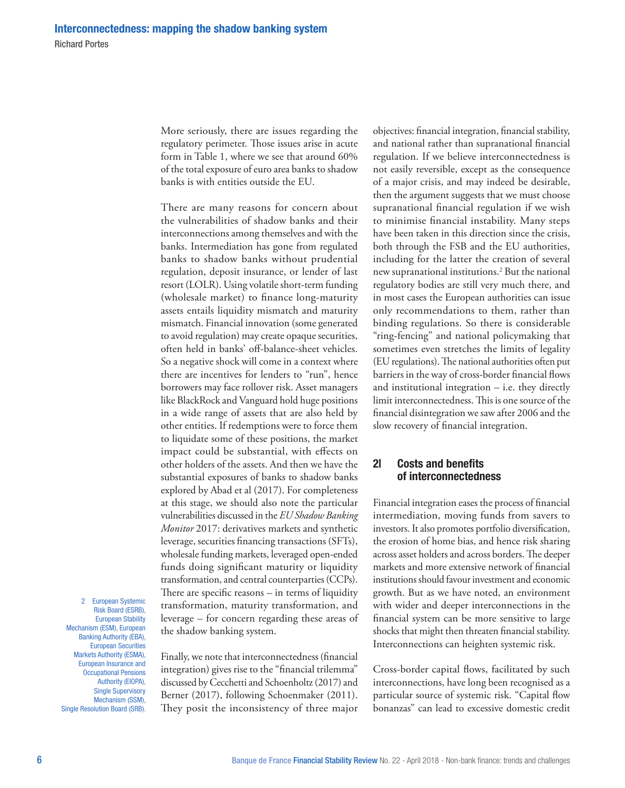More seriously, there are issues regarding the regulatory perimeter. Those issues arise in acute form in Table 1, where we see that around 60% of the total exposure of euro area banks to shadow banks is with entities outside the EU.

There are many reasons for concern about the vulnerabilities of shadow banks and their interconnections among themselves and with the banks. Intermediation has gone from regulated banks to shadow banks without prudential regulation, deposit insurance, or lender of last resort (LOLR). Using volatile short-term funding (wholesale market) to finance long‑maturity assets entails liquidity mismatch and maturity mismatch. Financial innovation (some generated to avoid regulation) may create opaque securities, often held in banks' off‑balance‑sheet vehicles. So a negative shock will come in a context where there are incentives for lenders to "run", hence borrowers may face rollover risk. Asset managers like BlackRock and Vanguard hold huge positions in a wide range of assets that are also held by other entities. If redemptions were to force them to liquidate some of these positions, the market impact could be substantial, with effects on other holders of the assets. And then we have the substantial exposures of banks to shadow banks explored by Abad et al (2017). For completeness at this stage, we should also note the particular vulnerabilities discussed in the *EU Shadow Banking Monitor* 2017: derivatives markets and synthetic leverage, securities financing transactions (SFTs), wholesale funding markets, leveraged open-ended funds doing significant maturity or liquidity transformation, and central counterparties (CCPs). There are specific reasons – in terms of liquidity transformation, maturity transformation, and leverage – for concern regarding these areas of the shadow banking system.

2 European Systemic Risk Board (ESRB), European Stability Mechanism (ESM), European Banking Authority (EBA), European Securities Markets Authority (ESMA), European Insurance and Occupational Pensions Authority (EIOPA), Single Supervisory Mechanism (SSM), Single Resolution Board (SRB).

Finally, we note that interconnectedness (financial integration) gives rise to the "financial trilemma" discussed by Cecchetti and Schoenholtz (2017) and Berner (2017), following Schoenmaker (2011). They posit the inconsistency of three major objectives: financial integration, financial stability, and national rather than supranational financial regulation. If we believe interconnectedness is not easily reversible, except as the consequence of a major crisis, and may indeed be desirable, then the argument suggests that we must choose supranational financial regulation if we wish to minimise financial instability. Many steps have been taken in this direction since the crisis, both through the FSB and the EU authorities, including for the latter the creation of several new supranational institutions.2 But the national regulatory bodies are still very much there, and in most cases the European authorities can issue only recommendations to them, rather than binding regulations. So there is considerable "ring‑fencing" and national policymaking that sometimes even stretches the limits of legality (EU regulations). The national authorities often put barriers in the way of cross-border financial flows and institutional integration  $-$  i.e. they directly limit interconnectedness. This is one source of the financial disintegration we saw after 2006 and the slow recovery of financial integration.

# 2| Costs and benefits of interconnectedness

Financial integration eases the process of financial intermediation, moving funds from savers to investors. It also promotes portfolio diversification, the erosion of home bias, and hence risk sharing across asset holders and across borders. The deeper markets and more extensive network of financial institutions should favour investment and economic growth. But as we have noted, an environment with wider and deeper interconnections in the financial system can be more sensitive to large shocks that might then threaten financial stability. Interconnections can heighten systemic risk.

Cross‑border capital flows, facilitated by such interconnections, have long been recognised as a particular source of systemic risk. "Capital flow bonanzas" can lead to excessive domestic credit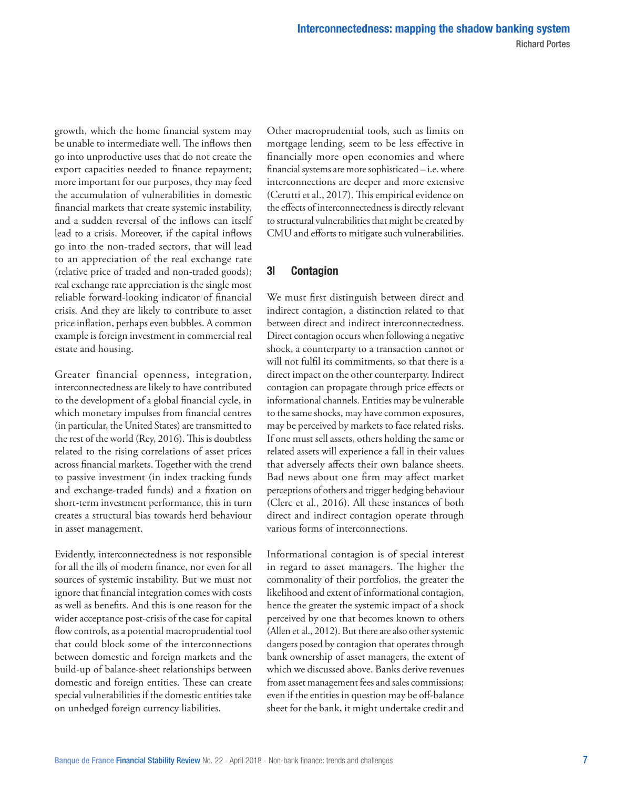growth, which the home financial system may be unable to intermediate well. The inflows then go into unproductive uses that do not create the export capacities needed to finance repayment; more important for our purposes, they may feed the accumulation of vulnerabilities in domestic financial markets that create systemic instability, and a sudden reversal of the inflows can itself lead to a crisis. Moreover, if the capital inflows go into the non‑traded sectors, that will lead to an appreciation of the real exchange rate (relative price of traded and non‑traded goods); real exchange rate appreciation is the single most reliable forward‑looking indicator of financial crisis. And they are likely to contribute to asset price inflation, perhaps even bubbles. A common example is foreign investment in commercial real estate and housing.

Greater financial openness, integration, interconnectedness are likely to have contributed to the development of a global financial cycle, in which monetary impulses from financial centres (in particular, the United States) are transmitted to the rest of the world (Rey, 2016). This is doubtless related to the rising correlations of asset prices across financial markets. Together with the trend to passive investment (in index tracking funds and exchange‑traded funds) and a fixation on short-term investment performance, this in turn creates a structural bias towards herd behaviour in asset management.

Evidently, interconnectedness is not responsible for all the ills of modern finance, nor even for all sources of systemic instability. But we must not ignore that financial integration comes with costs as well as benefits. And this is one reason for the wider acceptance post-crisis of the case for capital flow controls, as a potential macroprudential tool that could block some of the interconnections between domestic and foreign markets and the build‑up of balance‑sheet relationships between domestic and foreign entities. These can create special vulnerabilities if the domestic entities take on unhedged foreign currency liabilities.

Other macroprudential tools, such as limits on mortgage lending, seem to be less effective in financially more open economies and where financial systems are more sophisticated – i.e. where interconnections are deeper and more extensive (Cerutti et al., 2017). This empirical evidence on the effects of interconnectedness is directly relevant to structural vulnerabilities that might be created by CMU and efforts to mitigate such vulnerabilities.

# 3| Contagion

We must first distinguish between direct and indirect contagion, a distinction related to that between direct and indirect interconnectedness. Direct contagion occurs when following a negative shock, a counterparty to a transaction cannot or will not fulfil its commitments, so that there is a direct impact on the other counterparty. Indirect contagion can propagate through price effects or informational channels. Entities may be vulnerable to the same shocks, may have common exposures, may be perceived by markets to face related risks. If one must sell assets, others holding the same or related assets will experience a fall in their values that adversely affects their own balance sheets. Bad news about one firm may affect market perceptions of others and trigger hedging behaviour (Clerc et al., 2016). All these instances of both direct and indirect contagion operate through various forms of interconnections.

Informational contagion is of special interest in regard to asset managers. The higher the commonality of their portfolios, the greater the likelihood and extent of informational contagion, hence the greater the systemic impact of a shock perceived by one that becomes known to others (Allen et al., 2012). But there are also other systemic dangers posed by contagion that operates through bank ownership of asset managers, the extent of which we discussed above. Banks derive revenues from asset management fees and sales commissions; even if the entities in question may be off-balance sheet for the bank, it might undertake credit and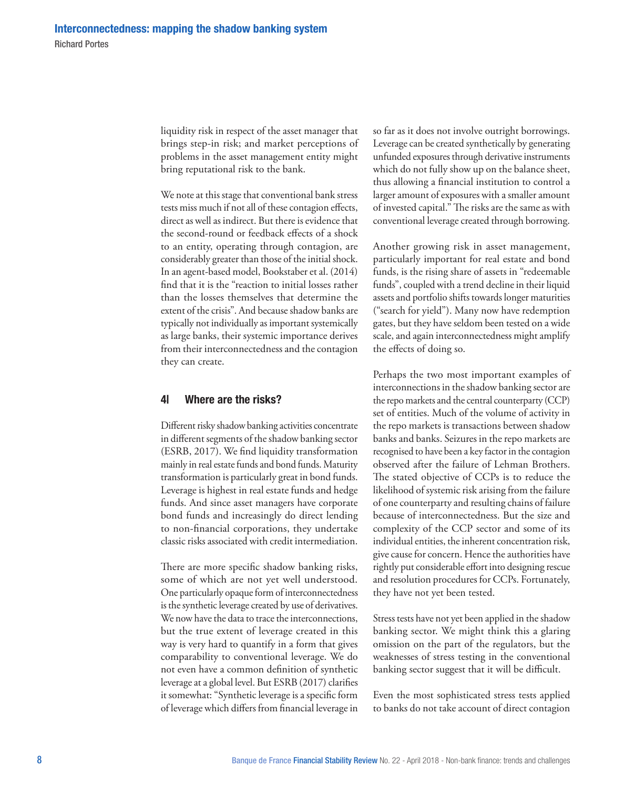liquidity risk in respect of the asset manager that brings step‑in risk; and market perceptions of problems in the asset management entity might bring reputational risk to the bank.

We note at this stage that conventional bank stress tests miss much if not all of these contagion effects, direct as well as indirect. But there is evidence that the second‑round or feedback effects of a shock to an entity, operating through contagion, are considerably greater than those of the initial shock. In an agent‑based model, Bookstaber et al. (2014) find that it is the "reaction to initial losses rather than the losses themselves that determine the extent of the crisis". And because shadow banks are typically not individually as important systemically as large banks, their systemic importance derives from their interconnectedness and the contagion they can create.

# 4| Where are the risks?

Different risky shadow banking activities concentrate in different segments of the shadow banking sector (ESRB, 2017). We find liquidity transformation mainly in real estate funds and bond funds. Maturity transformation is particularly great in bond funds. Leverage is highest in real estate funds and hedge funds. And since asset managers have corporate bond funds and increasingly do direct lending to non‑financial corporations, they undertake classic risks associated with credit intermediation.

There are more specific shadow banking risks, some of which are not yet well understood. One particularly opaque form of interconnectedness is the synthetic leverage created by use of derivatives. We now have the data to trace the interconnections, but the true extent of leverage created in this way is very hard to quantify in a form that gives comparability to conventional leverage. We do not even have a common definition of synthetic leverage at a global level. But ESRB (2017) clarifies it somewhat: "Synthetic leverage is a specific form of leverage which differs from financial leverage in so far as it does not involve outright borrowings. Leverage can be created synthetically by generating unfunded exposures through derivative instruments which do not fully show up on the balance sheet, thus allowing a financial institution to control a larger amount of exposures with a smaller amount of invested capital." The risks are the same as with conventional leverage created through borrowing.

Another growing risk in asset management, particularly important for real estate and bond funds, is the rising share of assets in "redeemable funds", coupled with a trend decline in their liquid assets and portfolio shifts towards longer maturities ("search for yield"). Many now have redemption gates, but they have seldom been tested on a wide scale, and again interconnectedness might amplify the effects of doing so.

Perhaps the two most important examples of interconnections in the shadow banking sector are the repo markets and the central counterparty (CCP) set of entities. Much of the volume of activity in the repo markets is transactions between shadow banks and banks. Seizures in the repo markets are recognised to have been a key factor in the contagion observed after the failure of Lehman Brothers. The stated objective of CCPs is to reduce the likelihood of systemic risk arising from the failure of one counterparty and resulting chains of failure because of interconnectedness. But the size and complexity of the CCP sector and some of its individual entities, the inherent concentration risk, give cause for concern. Hence the authorities have rightly put considerable effort into designing rescue and resolution procedures for CCPs. Fortunately, they have not yet been tested.

Stress tests have not yet been applied in the shadow banking sector. We might think this a glaring omission on the part of the regulators, but the weaknesses of stress testing in the conventional banking sector suggest that it will be difficult.

Even the most sophisticated stress tests applied to banks do not take account of direct contagion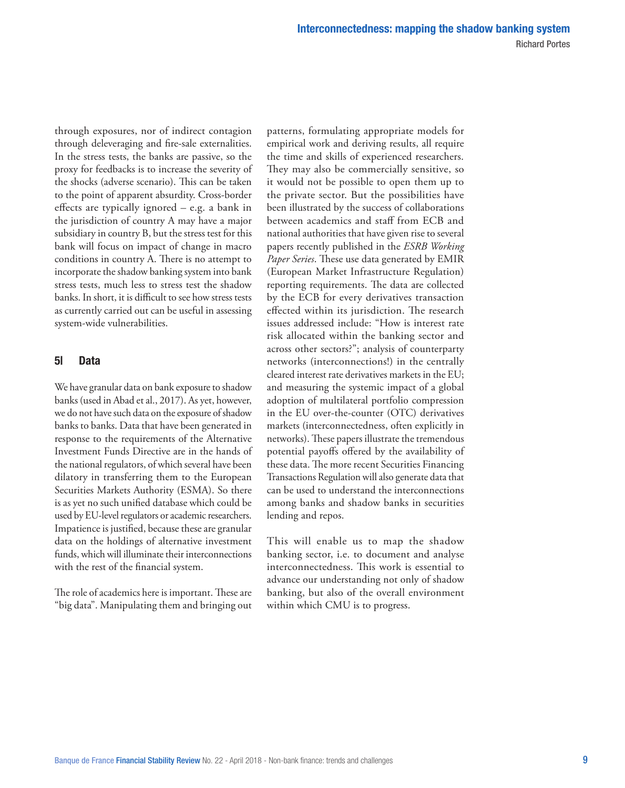through exposures, nor of indirect contagion through deleveraging and fire‑sale externalities. In the stress tests, the banks are passive, so the proxy for feedbacks is to increase the severity of the shocks (adverse scenario). This can be taken to the point of apparent absurdity. Cross‑border effects are typically ignored – e.g. a bank in the jurisdiction of country A may have a major subsidiary in country B, but the stress test for this bank will focus on impact of change in macro conditions in country A. There is no attempt to incorporate the shadow banking system into bank stress tests, much less to stress test the shadow banks. In short, it is difficult to see how stress tests as currently carried out can be useful in assessing system‑wide vulnerabilities.

# 5| Data

We have granular data on bank exposure to shadow banks (used in Abad et al., 2017). As yet, however, we do not have such data on the exposure of shadow banks to banks. Data that have been generated in response to the requirements of the Alternative Investment Funds Directive are in the hands of the national regulators, of which several have been dilatory in transferring them to the European Securities Markets Authority (ESMA). So there is as yet no such unified database which could be used by EU-level regulators or academic researchers. Impatience is justified, because these are granular data on the holdings of alternative investment funds, which will illuminate their interconnections with the rest of the financial system.

The role of academics here is important. These are "big data". Manipulating them and bringing out patterns, formulating appropriate models for empirical work and deriving results, all require the time and skills of experienced researchers. They may also be commercially sensitive, so it would not be possible to open them up to the private sector. But the possibilities have been illustrated by the success of collaborations between academics and staff from ECB and national authorities that have given rise to several papers recently published in the *ESRB Working Paper Series*. These use data generated by EMIR (European Market Infrastructure Regulation) reporting requirements. The data are collected by the ECB for every derivatives transaction effected within its jurisdiction. The research issues addressed include: "How is interest rate risk allocated within the banking sector and across other sectors?"; analysis of counterparty networks (interconnections!) in the centrally cleared interest rate derivatives markets in the EU; and measuring the systemic impact of a global adoption of multilateral portfolio compression in the EU over-the-counter (OTC) derivatives markets (interconnectedness, often explicitly in networks). These papers illustrate the tremendous potential payoffs offered by the availability of these data. The more recent Securities Financing Transactions Regulation will also generate data that can be used to understand the interconnections among banks and shadow banks in securities lending and repos.

This will enable us to map the shadow banking sector, i.e. to document and analyse interconnectedness. This work is essential to advance our understanding not only of shadow banking, but also of the overall environment within which CMU is to progress.